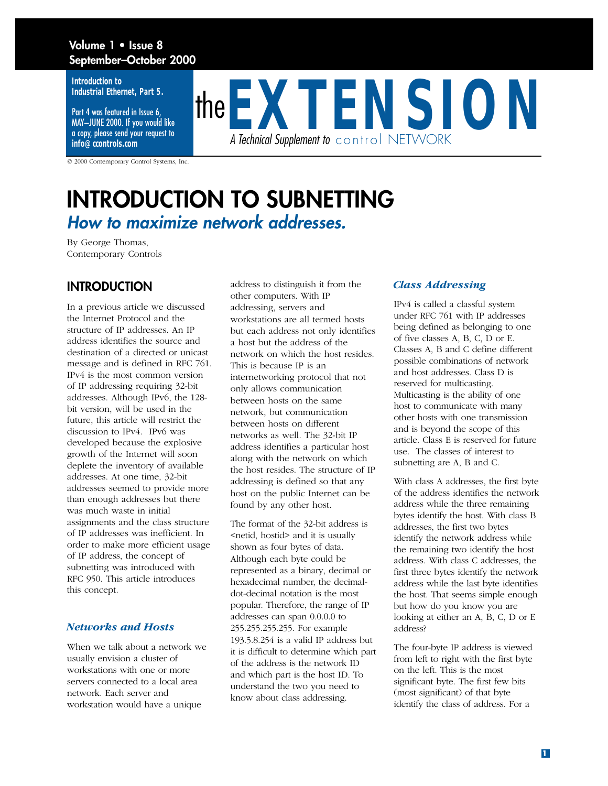## **Volume 1 • Issue 8 September–October 2000**

**Introduction to Industrial Ethernet, Part 5.** 

Part 4 was featured in Issue 6, MAY–JUNE 2000. If you would like a copy, please send your request to **info@ccontrols.com**

the**EXTENSION** *A Technical Supplement to* control NETWORK

© 2000 Contemporary Control Systems, Inc.

## **INTRODUCTION TO SUBNETTING** *How to maximize network addresses.*

By George Thomas, Contemporary Controls

## **INTRODUCTION**

In a previous article we discussed the Internet Protocol and the structure of IP addresses. An IP address identifies the source and destination of a directed or unicast message and is defined in RFC 761. IPv4 is the most common version of IP addressing requiring 32-bit addresses. Although IPv6, the 128 bit version, will be used in the future, this article will restrict the discussion to IPv4. IPv6 was developed because the explosive growth of the Internet will soon deplete the inventory of available addresses. At one time, 32-bit addresses seemed to provide more than enough addresses but there was much waste in initial assignments and the class structure of IP addresses was inefficient. In order to make more efficient usage of IP address, the concept of subnetting was introduced with RFC 950. This article introduces this concept.

#### *Networks and Hosts*

When we talk about a network we usually envision a cluster of workstations with one or more servers connected to a local area network. Each server and workstation would have a unique

address to distinguish it from the other computers. With IP addressing, servers and workstations are all termed hosts but each address not only identifies a host but the address of the network on which the host resides. This is because IP is an internetworking protocol that not only allows communication between hosts on the same network, but communication between hosts on different networks as well. The 32-bit IP address identifies a particular host along with the network on which the host resides. The structure of IP addressing is defined so that any host on the public Internet can be found by any other host.

The format of the 32-bit address is <netid, hostid> and it is usually shown as four bytes of data. Although each byte could be represented as a binary, decimal or hexadecimal number, the decimaldot-decimal notation is the most popular. Therefore, the range of IP addresses can span 0.0.0.0 to 255.255.255.255. For example 193.5.8.254 is a valid IP address but it is difficult to determine which part of the address is the network ID and which part is the host ID. To understand the two you need to know about class addressing.

#### *Class Addressing*

IPv4 is called a classful system under RFC 761 with IP addresses being defined as belonging to one of five classes A, B, C, D or E. Classes A, B and C define different possible combinations of network and host addresses. Class D is reserved for multicasting. Multicasting is the ability of one host to communicate with many other hosts with one transmission and is beyond the scope of this article. Class E is reserved for future use. The classes of interest to subnetting are A, B and C.

With class A addresses, the first byte of the address identifies the network address while the three remaining bytes identify the host. With class B addresses, the first two bytes identify the network address while the remaining two identify the host address. With class C addresses, the first three bytes identify the network address while the last byte identifies the host. That seems simple enough but how do you know you are looking at either an A, B, C, D or E address?

The four-byte IP address is viewed from left to right with the first byte on the left. This is the most significant byte. The first few bits (most significant) of that byte identify the class of address. For a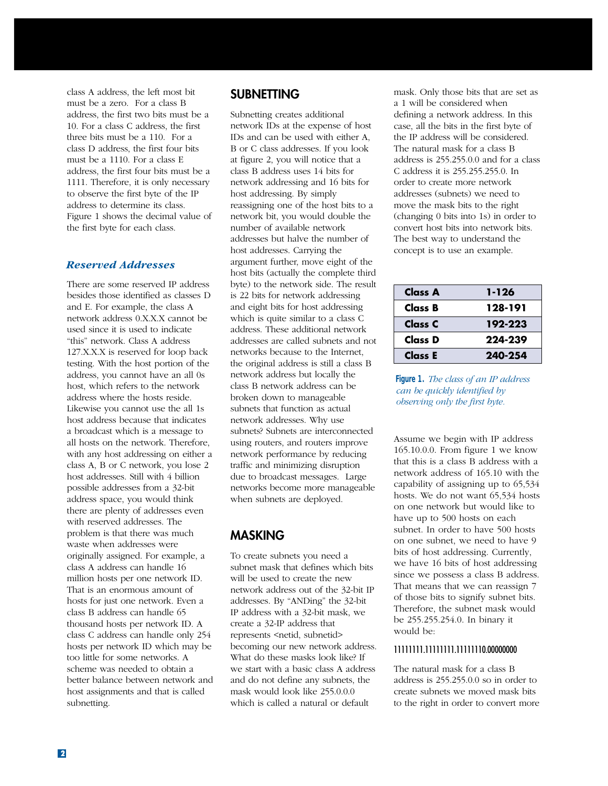class A address, the left most bit must be a zero. For a class B address, the first two bits must be a 10. For a class C address, the first three bits must be a 110. For a class D address, the first four bits must be a 1110. For a class E address, the first four bits must be a 1111. Therefore, it is only necessary to observe the first byte of the IP address to determine its class. Figure 1 shows the decimal value of the first byte for each class.

#### *Reserved Addresses*

There are some reserved IP address besides those identified as classes D and E. For example, the class A network address 0.X.X.X cannot be used since it is used to indicate "this" network. Class A address 127.X.X.X is reserved for loop back testing. With the host portion of the address, you cannot have an all 0s host, which refers to the network address where the hosts reside. Likewise you cannot use the all 1s host address because that indicates a broadcast which is a message to all hosts on the network. Therefore, with any host addressing on either a class A, B or C network, you lose 2 host addresses. Still with 4 billion possible addresses from a 32-bit address space, you would think there are plenty of addresses even with reserved addresses. The problem is that there was much waste when addresses were originally assigned. For example, a class A address can handle 16 million hosts per one network ID. That is an enormous amount of hosts for just one network. Even a class B address can handle 65 thousand hosts per network ID. A class C address can handle only 254 hosts per network ID which may be too little for some networks. A scheme was needed to obtain a better balance between network and host assignments and that is called subnetting.

## **SUBNETTING**

Subnetting creates additional network IDs at the expense of host IDs and can be used with either A, B or C class addresses. If you look at figure 2, you will notice that a class B address uses 14 bits for network addressing and 16 bits for host addressing. By simply reassigning one of the host bits to a network bit, you would double the number of available network addresses but halve the number of host addresses. Carrying the argument further, move eight of the host bits (actually the complete third byte) to the network side. The result is 22 bits for network addressing and eight bits for host addressing which is quite similar to a class C address. These additional network addresses are called subnets and not networks because to the Internet, the original address is still a class B network address but locally the class B network address can be broken down to manageable subnets that function as actual network addresses. Why use subnets? Subnets are interconnected using routers, and routers improve network performance by reducing traffic and minimizing disruption due to broadcast messages. Large networks become more manageable when subnets are deployed.

## **MASKING**

To create subnets you need a subnet mask that defines which bits will be used to create the new network address out of the 32-bit IP addresses. By "ANDing" the 32-bit IP address with a 32-bit mask, we create a 32-IP address that represents <netid, subnetid> becoming our new network address. What do these masks look like? If we start with a basic class A address and do not define any subnets, the mask would look like 255.0.0.0 which is called a natural or default

mask. Only those bits that are set as a 1 will be considered when defining a network address. In this case, all the bits in the first byte of the IP address will be considered. The natural mask for a class B address is 255.255.0.0 and for a class C address it is 255.255.255.0. In order to create more network addresses (subnets) we need to move the mask bits to the right (changing 0 bits into 1s) in order to convert host bits into network bits. The best way to understand the concept is to use an example.

| Class A | 1-126   |
|---------|---------|
| Class B | 128-191 |
| Class C | 192-223 |
| Class D | 224-239 |
| Class E | 240-254 |



Assume we begin with IP address 165.10.0.0. From figure 1 we know that this is a class B address with a network address of 165.10 with the capability of assigning up to 65,534 hosts. We do not want 65,534 hosts on one network but would like to have up to 500 hosts on each subnet. In order to have 500 hosts on one subnet, we need to have 9 bits of host addressing. Currently, we have 16 bits of host addressing since we possess a class B address. That means that we can reassign 7 of those bits to signify subnet bits. Therefore, the subnet mask would be 255.255.254.0. In binary it would be:

### 11111111.11111111.11111110.00000000

The natural mask for a class B address is 255.255.0.0 so in order to create subnets we moved mask bits to the right in order to convert more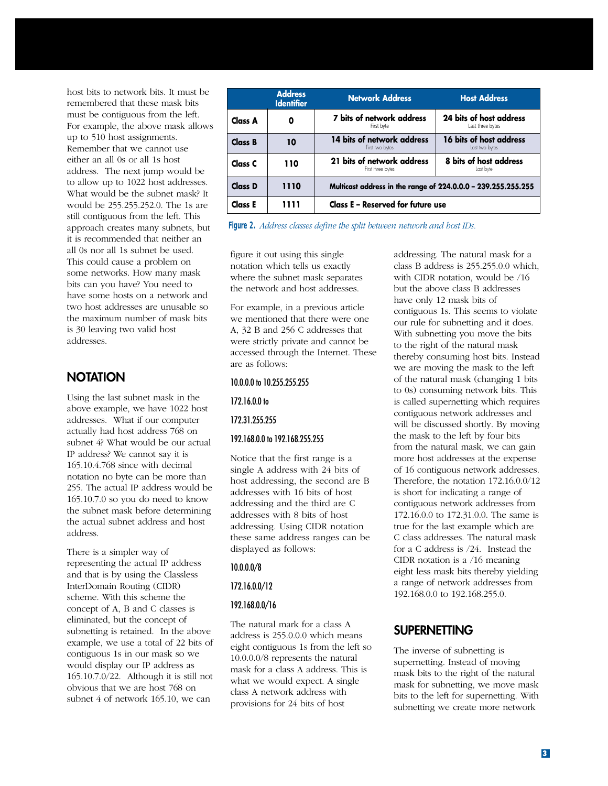host bits to network bits. It must be remembered that these mask bits must be contiguous from the left. For example, the above mask allows up to 510 host assignments. Remember that we cannot use either an all 0s or all 1s host address. The next jump would be to allow up to 1022 host addresses. What would be the subnet mask? It would be 255.255.252.0. The 1s are still contiguous from the left. This approach creates many subnets, but it is recommended that neither an all 0s nor all 1s subnet be used. This could cause a problem on some networks. How many mask bits can you have? You need to have some hosts on a network and two host addresses are unusable so the maximum number of mask bits is 30 leaving two valid host addresses.

## **NOTATION**

Using the last subnet mask in the above example, we have 1022 host addresses. What if our computer actually had host address 768 on subnet 4? What would be our actual IP address? We cannot say it is 165.10.4.768 since with decimal notation no byte can be more than 255. The actual IP address would be 165.10.7.0 so you do need to know the subnet mask before determining the actual subnet address and host address.

There is a simpler way of representing the actual IP address and that is by using the Classless InterDomain Routing (CIDR) scheme. With this scheme the concept of A, B and C classes is eliminated, but the concept of subnetting is retained. In the above example, we use a total of 22 bits of contiguous 1s in our mask so we would display our IP address as 165.10.7.0/22. Although it is still not obvious that we are host 768 on subnet 4 of network 165.10, we can

|                | <b>Address</b><br><b>Identifier</b> | <b>Network Address</b>                                        | <b>Host Address</b>                         |  |  |  |
|----------------|-------------------------------------|---------------------------------------------------------------|---------------------------------------------|--|--|--|
| Class A        | 0                                   | 7 bits of network address<br>First byte                       | 24 bits of host address<br>Last three bytes |  |  |  |
| <b>Class B</b> | 10                                  | 14 bits of network address<br>First two bytes                 | 16 bits of host address<br>Last two bytes   |  |  |  |
| Class C        | 110                                 | 21 bits of network address<br>First three bytes               | 8 bits of host address<br>Last byte         |  |  |  |
| Class D        | 1110                                | Multicast address in the range of 224.0.0.0 - 239.255.255.255 |                                             |  |  |  |
| Class E        | 1111                                | Class E - Reserved for future use                             |                                             |  |  |  |

**Figure 2.** *Address classes define the split between network and host IDs.*

figure it out using this single notation which tells us exactly where the subnet mask separates the network and host addresses.

For example, in a previous article we mentioned that there were one A, 32 B and 256 C addresses that were strictly private and cannot be accessed through the Internet. These are as follows:

#### 10.0.0.0 to 10.255.255.255

#### 172.16.0.0 to

#### 172.31.255.255

#### 192.168.0.0 to 192.168.255.255

Notice that the first range is a single A address with 24 bits of host addressing, the second are B addresses with 16 bits of host addressing and the third are C addresses with 8 bits of host addressing. Using CIDR notation these same address ranges can be displayed as follows:

#### 10.0.0.0/8

#### 172.16.0.0/12

#### 192.168.0.0/16

The natural mark for a class A address is 255.0.0.0 which means eight contiguous 1s from the left so 10.0.0.0/8 represents the natural mask for a class A address. This is what we would expect. A single class A network address with provisions for 24 bits of host

addressing. The natural mask for a class B address is 255.255.0.0 which, with CIDR notation, would be /16 but the above class B addresses have only 12 mask bits of contiguous 1s. This seems to violate our rule for subnetting and it does. With subnetting you move the bits to the right of the natural mask thereby consuming host bits. Instead we are moving the mask to the left of the natural mask (changing 1 bits to 0s) consuming network bits. This is called supernetting which requires contiguous network addresses and will be discussed shortly. By moving the mask to the left by four bits from the natural mask, we can gain more host addresses at the expense of 16 contiguous network addresses. Therefore, the notation 172.16.0.0/12 is short for indicating a range of contiguous network addresses from 172.16.0.0 to 172.31.0.0. The same is true for the last example which are C class addresses. The natural mask for a C address is /24. Instead the CIDR notation is a /16 meaning eight less mask bits thereby yielding a range of network addresses from 192.168.0.0 to 192.168.255.0.

## **SUPERNETTING**

The inverse of subnetting is supernetting. Instead of moving mask bits to the right of the natural mask for subnetting, we move mask bits to the left for supernetting. With subnetting we create more network